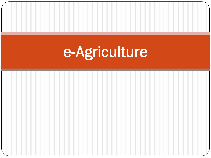# e-Agriculture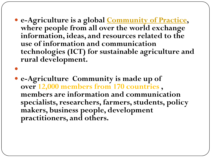- **e-Agriculture is a global [Community of Practice,](http://en.wikipedia.org/wiki/Community_of_practice) where people from all over the world exchange information, ideas, and resources related to the use of information and communication technologies (ICT) for sustainable agriculture and rural development.**
- **e-Agriculture Community is made up of over 12,000 members from 170 countries , members are information and communication specialists, researchers, farmers, students, policy makers, business people, development practitioners, and others.**

 $\bullet$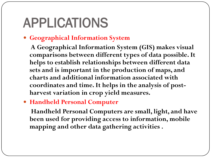## APPLICATIONS

### **Geographical Information System**

**A Geographical Information System (GIS) makes visual comparisons between different types of data possible. It helps to establish relationships between different data sets and is important in the production of maps, and charts and additional information associated with coordinates and time. It helps in the analysis of postharvest variation in crop yield measures.**

**Handheld Personal Computer**

**Handheld Personal Computers are small, light, and have been used for providing access to information, mobile mapping and other data gathering activities .**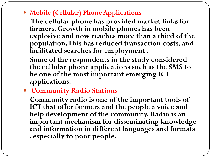**Mobile (Cellular) Phone Applications**

**The cellular phone has provided market links for farmers. Growth in mobile phones has been explosive and now reaches more than a third of the population. This has reduced transaction costs, and facilitated searches for employment .**

**Some of the respondents in the study considered the cellular phone applications such as the SMS to be one of the most important emerging ICT applications.**

**Community Radio Stations** 

**Community radio is one of the important tools of ICT that offer farmers and the people a voice and help development of the community. Radio is an important mechanism for disseminating knowledge and information in different languages and formats , especially to poor people.**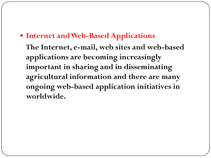### **Internet and Web-Based Applications**

**The Internet, e-mail, web sites and web-based applications are becoming increasingly important in sharing and in disseminating agricultural information and there are many ongoing web-based application initiatives in worldwide.**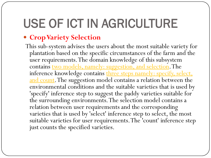### USE OF ICT IN AGRICULTURE

### **Crop Variety Selection**

This sub-system advises the users about the most suitable variety for plantation based on the specific circumstances of the farm and the user requirements. The domain knowledge of this subsystem contains two models, namely: suggestion, and selection. The inference knowledge contains three steps namely: specify, select, and count. The suggestion model contains a relation between the environmental conditions and the suitable varieties that is used by 'specify' inference step to suggest the paddy varieties suitable for the surrounding environments. The selection model contains a relation between user requirements and the corresponding varieties that is used by 'select' inference step to select, the most suitable varieties for user requirements. The 'count' inference step just counts the specified varieties.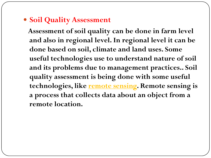### **• Soil Quality Assessment**

**Assessment of soil quality can be done in farm level and also in regional level. In regional level it can be done based on soil, climate and land uses. Some useful technologies use to understand nature of soil and its problems due to management practices.. Soil quality assessment is being done with some useful technologies, like remote sensing. Remote sensing is a process that collects data about an object from a remote location.**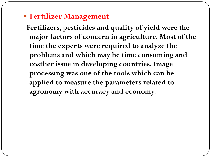### **Fertilizer Management**

**Fertilizers, pesticides and quality of yield were the major factors of concern in agriculture. Most of the time the experts were required to analyze the problems and which may be time consuming and costlier issue in developing countries. Image processing was one of the tools which can be applied to measure the parameters related to agronomy with accuracy and economy.**